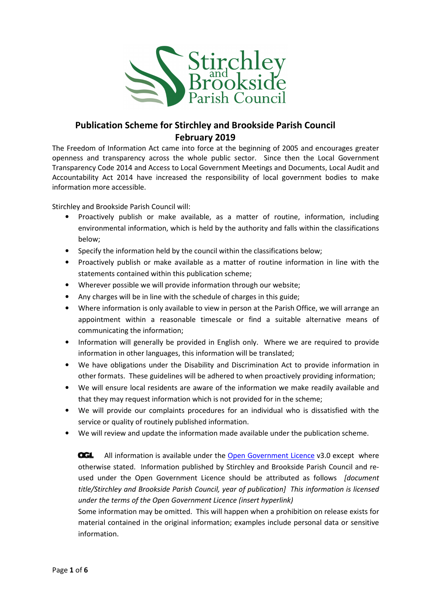

## Publication Scheme for Stirchley and Brookside Parish Council February 2019

The Freedom of Information Act came into force at the beginning of 2005 and encourages greater openness and transparency across the whole public sector. Since then the Local Government Transparency Code 2014 and Access to Local Government Meetings and Documents, Local Audit and Accountability Act 2014 have increased the responsibility of local government bodies to make information more accessible.

Stirchley and Brookside Parish Council will:

- Proactively publish or make available, as a matter of routine, information, including environmental information, which is held by the authority and falls within the classifications below;
- Specify the information held by the council within the classifications below;
- Proactively publish or make available as a matter of routine information in line with the statements contained within this publication scheme;
- Wherever possible we will provide information through our website;
- Any charges will be in line with the schedule of charges in this guide;
- Where information is only available to view in person at the Parish Office, we will arrange an appointment within a reasonable timescale or find a suitable alternative means of communicating the information;
- Information will generally be provided in English only. Where we are required to provide information in other languages, this information will be translated;
- We have obligations under the Disability and Discrimination Act to provide information in other formats. These guidelines will be adhered to when proactively providing information;
- We will ensure local residents are aware of the information we make readily available and that they may request information which is not provided for in the scheme;
- We will provide our complaints procedures for an individual who is dissatisfied with the service or quality of routinely published information.
- We will review and update the information made available under the publication scheme.

**OGL** All information is available under the Open Government Licence v3.0 except where otherwise stated. Information published by Stirchley and Brookside Parish Council and reused under the Open Government Licence should be attributed as follows [document title/Stirchley and Brookside Parish Council, year of publication] This information is licensed under the terms of the Open Government Licence (insert hyperlink)

Some information may be omitted. This will happen when a prohibition on release exists for material contained in the original information; examples include personal data or sensitive information.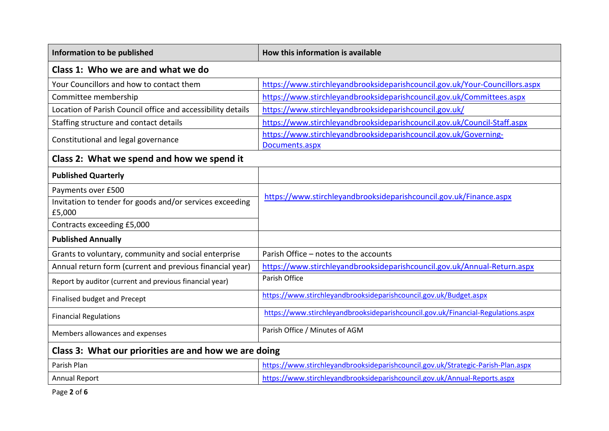| Information to be published                                        | How this information is available                                                |  |
|--------------------------------------------------------------------|----------------------------------------------------------------------------------|--|
| Class 1: Who we are and what we do                                 |                                                                                  |  |
| Your Councillors and how to contact them                           | https://www.stirchleyandbrooksideparishcouncil.gov.uk/Your-Councillors.aspx      |  |
| Committee membership                                               | https://www.stirchleyandbrooksideparishcouncil.gov.uk/Committees.aspx            |  |
| Location of Parish Council office and accessibility details        | https://www.stirchleyandbrooksideparishcouncil.gov.uk/                           |  |
| Staffing structure and contact details                             | https://www.stirchleyandbrooksideparishcouncil.gov.uk/Council-Staff.aspx         |  |
| Constitutional and legal governance                                | https://www.stirchleyandbrooksideparishcouncil.gov.uk/Governing-                 |  |
|                                                                    | Documents.aspx                                                                   |  |
| Class 2: What we spend and how we spend it                         |                                                                                  |  |
| <b>Published Quarterly</b>                                         |                                                                                  |  |
| Payments over £500                                                 |                                                                                  |  |
| Invitation to tender for goods and/or services exceeding<br>£5,000 | https://www.stirchleyandbrooksideparishcouncil.gov.uk/Finance.aspx               |  |
| Contracts exceeding £5,000                                         |                                                                                  |  |
| <b>Published Annually</b>                                          |                                                                                  |  |
| Grants to voluntary, community and social enterprise               | Parish Office - notes to the accounts                                            |  |
| Annual return form (current and previous financial year)           | https://www.stirchleyandbrooksideparishcouncil.gov.uk/Annual-Return.aspx         |  |
| Report by auditor (current and previous financial year)            | Parish Office                                                                    |  |
| Finalised budget and Precept                                       | https://www.stirchleyandbrooksideparishcouncil.gov.uk/Budget.aspx                |  |
| <b>Financial Regulations</b>                                       | https://www.stirchleyandbrooksideparishcouncil.gov.uk/Financial-Regulations.aspx |  |
| Members allowances and expenses                                    | Parish Office / Minutes of AGM                                                   |  |
| Class 3: What our priorities are and how we are doing              |                                                                                  |  |
| Parish Plan                                                        | https://www.stirchleyandbrooksideparishcouncil.gov.uk/Strategic-Parish-Plan.aspx |  |
| <b>Annual Report</b>                                               | https://www.stirchleyandbrooksideparishcouncil.gov.uk/Annual-Reports.aspx        |  |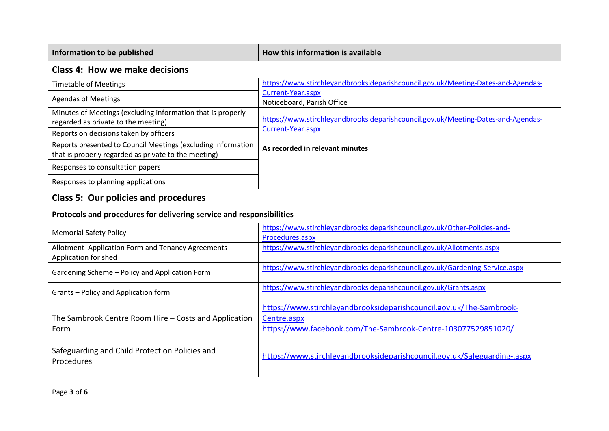| Information to be published                                                                                          | How this information is available                                                                                                                   |  |
|----------------------------------------------------------------------------------------------------------------------|-----------------------------------------------------------------------------------------------------------------------------------------------------|--|
| <b>Class 4: How we make decisions</b>                                                                                |                                                                                                                                                     |  |
| <b>Timetable of Meetings</b>                                                                                         | https://www.stirchleyandbrooksideparishcouncil.gov.uk/Meeting-Dates-and-Agendas-                                                                    |  |
| <b>Agendas of Meetings</b>                                                                                           | Current-Year.aspx<br>Noticeboard, Parish Office                                                                                                     |  |
| Minutes of Meetings (excluding information that is properly<br>regarded as private to the meeting)                   | https://www.stirchleyandbrooksideparishcouncil.gov.uk/Meeting-Dates-and-Agendas-                                                                    |  |
| Reports on decisions taken by officers                                                                               | Current-Year.aspx                                                                                                                                   |  |
| Reports presented to Council Meetings (excluding information<br>that is properly regarded as private to the meeting) | As recorded in relevant minutes                                                                                                                     |  |
| Responses to consultation papers                                                                                     |                                                                                                                                                     |  |
| Responses to planning applications                                                                                   |                                                                                                                                                     |  |
| <b>Class 5: Our policies and procedures</b>                                                                          |                                                                                                                                                     |  |
| Protocols and procedures for delivering service and responsibilities                                                 |                                                                                                                                                     |  |
| <b>Memorial Safety Policy</b>                                                                                        | https://www.stirchleyandbrooksideparishcouncil.gov.uk/Other-Policies-and-<br>Procedures.aspx                                                        |  |
| Allotment Application Form and Tenancy Agreements<br>Application for shed                                            | https://www.stirchleyandbrooksideparishcouncil.gov.uk/Allotments.aspx                                                                               |  |
| Gardening Scheme - Policy and Application Form                                                                       | https://www.stirchleyandbrooksideparishcouncil.gov.uk/Gardening-Service.aspx                                                                        |  |
| Grants - Policy and Application form                                                                                 | https://www.stirchleyandbrooksideparishcouncil.gov.uk/Grants.aspx                                                                                   |  |
| The Sambrook Centre Room Hire - Costs and Application<br>Form                                                        | https://www.stirchleyandbrooksideparishcouncil.gov.uk/The-Sambrook-<br>Centre.aspx<br>https://www.facebook.com/The-Sambrook-Centre-103077529851020/ |  |
| Safeguarding and Child Protection Policies and<br>Procedures                                                         | https://www.stirchleyandbrooksideparishcouncil.gov.uk/Safeguarding-.aspx                                                                            |  |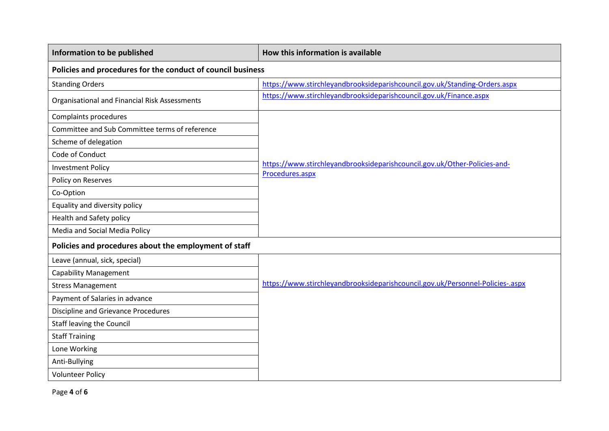| Information to be published                                 | How this information is available                                                            |  |
|-------------------------------------------------------------|----------------------------------------------------------------------------------------------|--|
| Policies and procedures for the conduct of council business |                                                                                              |  |
| <b>Standing Orders</b>                                      | https://www.stirchleyandbrooksideparishcouncil.gov.uk/Standing-Orders.aspx                   |  |
| Organisational and Financial Risk Assessments               | https://www.stirchleyandbrooksideparishcouncil.gov.uk/Finance.aspx                           |  |
| Complaints procedures                                       |                                                                                              |  |
| Committee and Sub Committee terms of reference              |                                                                                              |  |
| Scheme of delegation                                        |                                                                                              |  |
| Code of Conduct                                             |                                                                                              |  |
| <b>Investment Policy</b>                                    | https://www.stirchleyandbrooksideparishcouncil.gov.uk/Other-Policies-and-<br>Procedures.aspx |  |
| Policy on Reserves                                          |                                                                                              |  |
| Co-Option                                                   |                                                                                              |  |
| Equality and diversity policy                               |                                                                                              |  |
| Health and Safety policy                                    |                                                                                              |  |
| Media and Social Media Policy                               |                                                                                              |  |
| Policies and procedures about the employment of staff       |                                                                                              |  |
| Leave (annual, sick, special)                               |                                                                                              |  |
| <b>Capability Management</b>                                |                                                                                              |  |
| <b>Stress Management</b>                                    | https://www.stirchleyandbrooksideparishcouncil.gov.uk/Personnel-Policies-.aspx               |  |
| Payment of Salaries in advance                              |                                                                                              |  |
| Discipline and Grievance Procedures                         |                                                                                              |  |
| <b>Staff leaving the Council</b>                            |                                                                                              |  |
| <b>Staff Training</b>                                       |                                                                                              |  |
| Lone Working                                                |                                                                                              |  |
| Anti-Bullying                                               |                                                                                              |  |
| <b>Volunteer Policy</b>                                     |                                                                                              |  |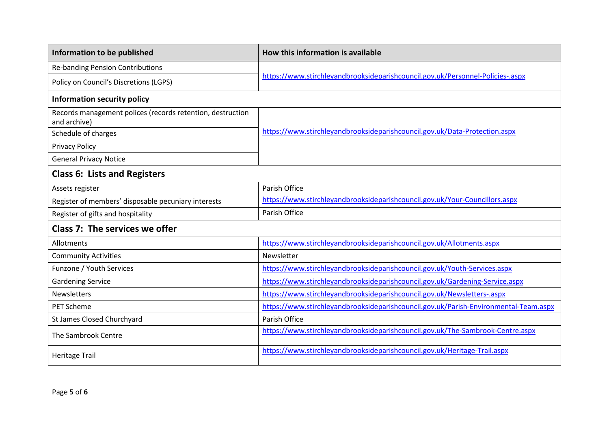| Information to be published                                                | How this information is available                                                    |  |
|----------------------------------------------------------------------------|--------------------------------------------------------------------------------------|--|
| <b>Re-banding Pension Contributions</b>                                    |                                                                                      |  |
| Policy on Council's Discretions (LGPS)                                     | https://www.stirchleyandbrooksideparishcouncil.gov.uk/Personnel-Policies-.aspx       |  |
| Information security policy                                                |                                                                                      |  |
| Records management polices (records retention, destruction<br>and archive) |                                                                                      |  |
| Schedule of charges                                                        | https://www.stirchleyandbrooksideparishcouncil.gov.uk/Data-Protection.aspx           |  |
| <b>Privacy Policy</b>                                                      |                                                                                      |  |
| <b>General Privacy Notice</b>                                              |                                                                                      |  |
| <b>Class 6: Lists and Registers</b>                                        |                                                                                      |  |
| Assets register                                                            | Parish Office                                                                        |  |
| Register of members' disposable pecuniary interests                        | https://www.stirchleyandbrooksideparishcouncil.gov.uk/Your-Councillors.aspx          |  |
| Register of gifts and hospitality                                          | Parish Office                                                                        |  |
| Class 7: The services we offer                                             |                                                                                      |  |
| Allotments                                                                 | https://www.stirchleyandbrooksideparishcouncil.gov.uk/Allotments.aspx                |  |
| <b>Community Activities</b>                                                | Newsletter                                                                           |  |
| Funzone / Youth Services                                                   | https://www.stirchleyandbrooksideparishcouncil.gov.uk/Youth-Services.aspx            |  |
| <b>Gardening Service</b>                                                   | https://www.stirchleyandbrooksideparishcouncil.gov.uk/Gardening-Service.aspx         |  |
| Newsletters                                                                | https://www.stirchleyandbrooksideparishcouncil.gov.uk/Newsletters-.aspx              |  |
| <b>PET Scheme</b>                                                          | https://www.stirchleyandbrooksideparishcouncil.gov.uk/Parish-Environmental-Team.aspx |  |
| St James Closed Churchyard                                                 | Parish Office                                                                        |  |
| The Sambrook Centre                                                        | https://www.stirchleyandbrooksideparishcouncil.gov.uk/The-Sambrook-Centre.aspx       |  |
| <b>Heritage Trail</b>                                                      | https://www.stirchleyandbrooksideparishcouncil.gov.uk/Heritage-Trail.aspx            |  |